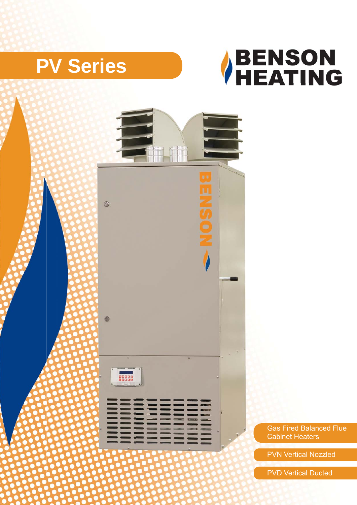## **PV Series**





Gas Fired Balanced Flue Cabinet Heaters Heat

PVN Vertical Nozzled

PVD Vertical Ducted Vertical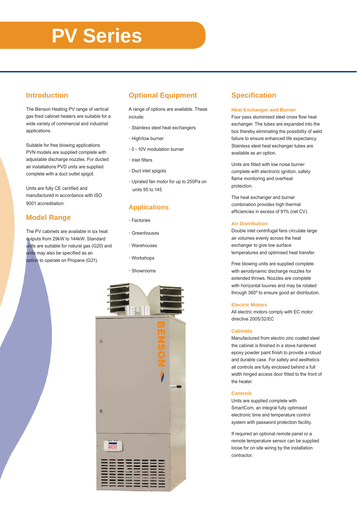# **PV Series**

## **Introduction**

The Benson Heating PV range of vertical gas fired cabinet heaters are suitable for a wide variety of commercial and industrial applications.

Suitable for free blowing applications PVN models are supplied complete with adjustable discharge nozzles. For ducted air installations PVD units are supplied complete with a duct outlet spigot.

Units are fully CE certified and manufactured in accordance with ISO 9001 accreditation.

## **Model Range**

The PV cabinets are available in six heat outputs from 29kW to 144kW. Standard units are suitable for natural gas (G20) and units may also be specified as an option to operate on Propane (G31).

## **Optional Equipment**

A range of options are available. These include:

- Stainless steel heat exchangers
- High/low burner
- 0 10V modulation burner
- Inlet filters
- Duct inlet spigots
- Uprated fan motor for up to 250Pa on units 95 to 145

## **Applications**

- Factories
- Greenhouses
- Warehouses
- Workshops
- Showrooms •



## **Specifi cation**

#### **Heat Exchanger and Burner**

Four pass aluminised steel cross flow heat exchanger. The tubes are expanded into the box thereby eliminating the possibility of weld failure to ensure enhanced life expectancy. Stainless steel heat exchanger tubes are available as an option.

Units are fitted with low noise burner complete with electronic ignition, safety flame monitoring and overheat protection.

The heat exchanger and burner combination provides high thermal efficiencies in excess of 91% (net CV).

#### **Air Distribution**

Double inlet centrifugal fans circulate large air volumes evenly across the heat exchanger to give low surface temperatures and optimised heat transfer.

Free blowing units are supplied complete with aerodynamic discharge nozzles for extended throws. Nozzles are complete with horizontal louvres and may be rotated through 360º to ensure good air distribution.

#### **Electric Motors**

All electric motors comply with EC motor directive 2005/32/EC

#### **Cabinets**

Manufactured from electro zinc coated steel the cabinet is finished in a stove hardened epoxy powder paint finish to provide a robust and durable case. For safety and aesthetics all controls are fully enclosed behind a full width hinged access door fitted to the front of the heater.

#### **Controls**

Units are supplied complete with SmartCom, an integral fully optimised electronic time and temperature control system with password protection facility.

If required an optional remote panel or a remote temperature sensor can be supplied loose for on site wiring by the installation contractor.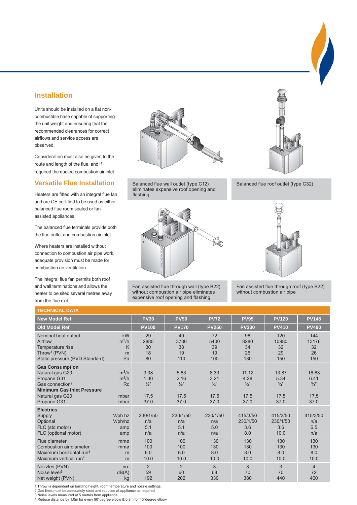## **Installation**

Units should be installed on a flat noncombustible base capable of supporting the unit weight and ensuring that the recommended clearances for correct airflows and service access are observed.

Consideration must also be given to the route and length of the flue, and if required the ducted combustion air inlet.

## **Versatile Flue Installation**

Heaters are fitted with an integral flue fan and are CE certified to be used as either balanced flue room sealed or fan assisted appliances.

The balanced flue terminals provide both the flue outlet and combustion air inlet.

Where heaters are installed without connection to combustion air pipe work, adequate provision must be made for combustion air ventilation.

The integral flue fan permits both roof and wall terminations and allows the heater to be sited several metres away from the flue exit.



Balanced flue wall outlet (type C12) Balanced flue roof outlet (type C32) eliminates expensive roof opening and flashing



Fan assisted flue through wall (type B22) without combustion air pipe eliminates expensive roof opening and flashing





Fan assisted flue through roof (type B22) without combustion air pipe

| <b>TECHNICAL DATA</b>                                                                                                                                          |                                          |                                               |                                               |                                               |                                                  |                                                |                                                |
|----------------------------------------------------------------------------------------------------------------------------------------------------------------|------------------------------------------|-----------------------------------------------|-----------------------------------------------|-----------------------------------------------|--------------------------------------------------|------------------------------------------------|------------------------------------------------|
| <b>New Model Ref</b>                                                                                                                                           |                                          | <b>PV30</b>                                   | <b>PV50</b>                                   | <b>PV72</b>                                   | <b>PV95</b>                                      | <b>PV120</b>                                   | <b>PV145</b>                                   |
| <b>Old Model Ref</b>                                                                                                                                           |                                          | <b>PV100</b>                                  | <b>PV170</b>                                  | <b>PV250</b>                                  | <b>PV330</b>                                     | <b>PV410</b>                                   | <b>PV490</b>                                   |
| Nominal heat output<br>Airflow<br>Temperature rise<br>Throw <sup>1</sup> (PVN)<br>Static pressure (PVD Standard)                                               | kW<br>$m^3/h$<br>K<br>m<br>Pa            | 29<br>2880<br>30<br>18<br>80                  | 49<br>3780<br>38<br>19<br>110                 | 72<br>5400<br>39<br>19<br>100                 | 96<br>8280<br>34<br>26<br>130                    | 120<br>10980<br>32<br>29<br>150                | 144<br>13176<br>32<br>26<br>150                |
| <b>Gas Consumption</b><br>Natural gas G20<br>Propane G31<br>Gas connection <sup>2</sup><br><b>Minimum Gas Inlet Pressure</b><br>Natural gas G20<br>Propane G31 | $m^3/h$<br>$m^3/h$<br>Rc<br>mbar<br>mbar | 3.38<br>1.30<br>$\frac{1}{2}$<br>17.5<br>37.0 | 5.63<br>2.16<br>$\frac{1}{2}$<br>17.5<br>37.0 | 8.33<br>3.21<br>$\frac{3}{4}$<br>17.5<br>37.0 | 11.12<br>4.28<br>$\frac{3}{4}$ "<br>17.5<br>37.0 | 13.87<br>5.34<br>$\frac{3}{4}$<br>17.5<br>37.0 | 16.63<br>6.41<br>$\frac{3}{4}$<br>17.5<br>37.0 |
| <b>Electrics</b><br>Supply<br>Optional<br>FLC (std motor)<br>FLC (optional motor)                                                                              | V/ph hz<br>V/ph/hz<br>amp<br>amp         | 230/1/50<br>n/a<br>5.1<br>n/a                 | 230/1/50<br>n/a<br>5.1<br>n/a                 | 230/1/50<br>n/a<br>5.0<br>n/a                 | 415/3/50<br>230/1/50<br>3.6<br>8.0               | 415/3/50<br>230/1/50<br>3.6<br>10.0            | 415/3/50<br>n/a<br>6.5<br>n/a                  |
| Flue diameter<br>Combustion air diameter<br>Maximum horizontal run <sup>4</sup><br>Maximum vertical run <sup>4</sup>                                           | mmø<br>mmø<br>m<br>m                     | 100<br>100<br>6.0<br>10.0                     | 100<br>100<br>6.0<br>10.0                     | 130<br>130<br>8.0<br>10.0                     | 130<br>130<br>8.0<br>10.0                        | 130<br>130<br>8.0<br>10.0                      | 130<br>130<br>8.0<br>10.0                      |
| Nozzles (PVN)<br>Noise level $3$<br>Net weight (PVN)                                                                                                           | no.<br>dB(A)<br>kg                       | $\overline{2}$<br>59<br>192                   | $\overline{2}$<br>60<br>202                   | 3<br>68<br>330                                | 3<br>70<br>380                                   | 3<br>70<br>440                                 | $\overline{4}$<br>72<br>460                    |

1 Throw is dependent on building height, room temperature and nozzle settings.

2 Gas lines must be adequately sized and reduced at appliance as required 3 Noise levels measured at 5 metres from appliance

4 Reduce distance by 1.0m for every 90°degree elbow & 0.8m for 45°degree elbow